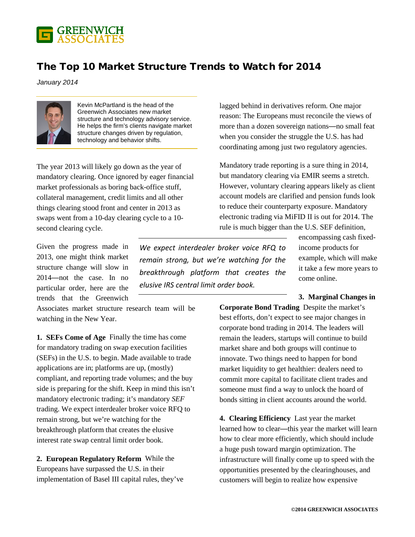

## The Top 10 Market Structure Trends to Watch for 2014

*January 2014*



Kevin McPartland is the head of the Greenwich Associates new market structure and technology advisory service. He helps the firm's clients navigate market structure changes driven by regulation, technology and behavior shifts.

The year 2013 will likely go down as the year of mandatory clearing. Once ignored by eager financial market professionals as boring back-office stuff, collateral management, credit limits and all other things clearing stood front and center in 2013 as swaps went from a 10-day clearing cycle to a 10 second clearing cycle.

Given the progress made in 2013, one might think market structure change will slow in 2014—not the case. In no particular order, here are the trends that the Greenwich

Associates market structure research team will be watching in the New Year.

**1. SEFs Come of Age** Finally the time has come for mandatory trading on swap execution facilities (SEFs) in the U.S. to begin. Made available to trade applications are in; platforms are up, (mostly) compliant, and reporting trade volumes; and the buy side is preparing for the shift. Keep in mind this isn't mandatory electronic trading; it's mandatory *SEF* trading. We expect interdealer broker voice RFQ to remain strong, but we're watching for the breakthrough platform that creates the elusive interest rate swap central limit order book.

**2. European Regulatory Reform** While the Europeans have surpassed the U.S. in their implementation of Basel III capital rules, they've

*We expect interdealer broker voice RFQ to remain strong, but we're watching for the breakthrough platform that creates the elusive IRS central limit order book.*

lagged behind in derivatives reform. One major reason: The Europeans must reconcile the views of more than a dozen sovereign nations—no small feat when you consider the struggle the U.S. has had coordinating among just two regulatory agencies.

Mandatory trade reporting is a sure thing in 2014, but mandatory clearing via EMIR seems a stretch. However, voluntary clearing appears likely as client account models are clarified and pension funds look to reduce their counterparty exposure. Mandatory electronic trading via MiFID II is out for 2014. The rule is much bigger than the U.S. SEF definition,

> encompassing cash fixedincome products for example, which will make it take a few more years to come online.

## **3. Marginal Changes in**

**Corporate Bond Trading** Despite the market's best efforts, don't expect to see major changes in corporate bond trading in 2014. The leaders will remain the leaders, startups will continue to build market share and both groups will continue to innovate. Two things need to happen for bond market liquidity to get healthier: dealers need to commit more capital to facilitate client trades and someone must find a way to unlock the hoard of bonds sitting in client accounts around the world.

**4. Clearing Efficiency** Last year the market learned how to clear—this year the market will learn how to clear more efficiently, which should include a huge push toward margin optimization. The infrastructure will finally come up to speed with the opportunities presented by the clearinghouses, and customers will begin to realize how expensive